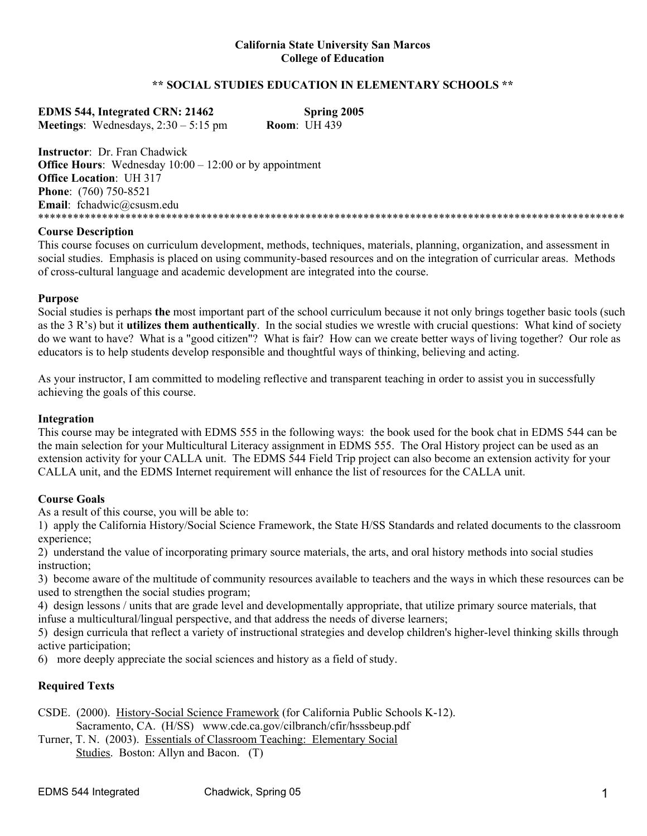#### **\*\* SOCIAL STUDIES EDUCATION IN ELEMENTARY SCHOOLS \*\***

| <b>EDMS 544, Integrated CRN: 21462</b>        | Spring 2005         |
|-----------------------------------------------|---------------------|
| <b>Meetings:</b> Wednesdays, $2:30 - 5:15$ pm | <b>Room: UH 439</b> |

**Instructor**: Dr. Fran Chadwick **Office Hours:** Wednesday  $10:00 - 12:00$  or by appointment **Office Location**: UH 317 **Phone**: (760) 750-8521 **Email**: fchadwic@csusm.edu \*\*\*\*\*\*\*\*\*\*\*\*\*\*\*\*\*\*\*\*\*\*\*\*\*\*\*\*\*\*\*\*\*\*\*\*\*\*\*\*\*\*\*\*\*\*\*\*\*\*\*\*\*\*\*\*\*\*\*\*\*\*\*\*\*\*\*\*\*\*\*\*\*\*\*\*\*\*\*\*\*\*\*\*\*\*\*\*\*\*\*\*\*\*\*\*\*\*\*\*\*

#### **Course Description**

This course focuses on curriculum development, methods, techniques, materials, planning, organization, and assessment in social studies. Emphasis is placed on using community-based resources and on the integration of curricular areas. Methods of cross-cultural language and academic development are integrated into the course.

## **Purpose**

Social studies is perhaps **the** most important part of the school curriculum because it not only brings together basic tools (such as the 3 R's) but it **utilizes them authentically**. In the social studies we wrestle with crucial questions: What kind of society do we want to have? What is a "good citizen"? What is fair? How can we create better ways of living together? Our role as educators is to help students develop responsible and thoughtful ways of thinking, believing and acting.

As your instructor, I am committed to modeling reflective and transparent teaching in order to assist you in successfully achieving the goals of this course.

## **Integration**

This course may be integrated with EDMS 555 in the following ways: the book used for the book chat in EDMS 544 can be the main selection for your Multicultural Literacy assignment in EDMS 555. The Oral History project can be used as an extension activity for your CALLA unit. The EDMS 544 Field Trip project can also become an extension activity for your CALLA unit, and the EDMS Internet requirement will enhance the list of resources for the CALLA unit.

# **Course Goals**

As a result of this course, you will be able to:

1) apply the California History/Social Science Framework, the State H/SS Standards and related documents to the classroom experience;

2) understand the value of incorporating primary source materials, the arts, and oral history methods into social studies instruction;

3) become aware of the multitude of community resources available to teachers and the ways in which these resources can be used to strengthen the social studies program;

4) design lessons / units that are grade level and developmentally appropriate, that utilize primary source materials, that infuse a multicultural/lingual perspective, and that address the needs of diverse learners;

5) design curricula that reflect a variety of instructional strategies and develop children's higher-level thinking skills through active participation;

6) more deeply appreciate the social sciences and history as a field of study.

# **Required Texts**

- CSDE. (2000). History-Social Science Framework (for California Public Schools K-12). Sacramento, CA. (H/SS) www.cde.ca.gov/cilbranch/cfir/hsssbeup.pdf
- Turner, T. N. (2003). Essentials of Classroom Teaching: Elementary Social Studies. Boston: Allyn and Bacon. (T)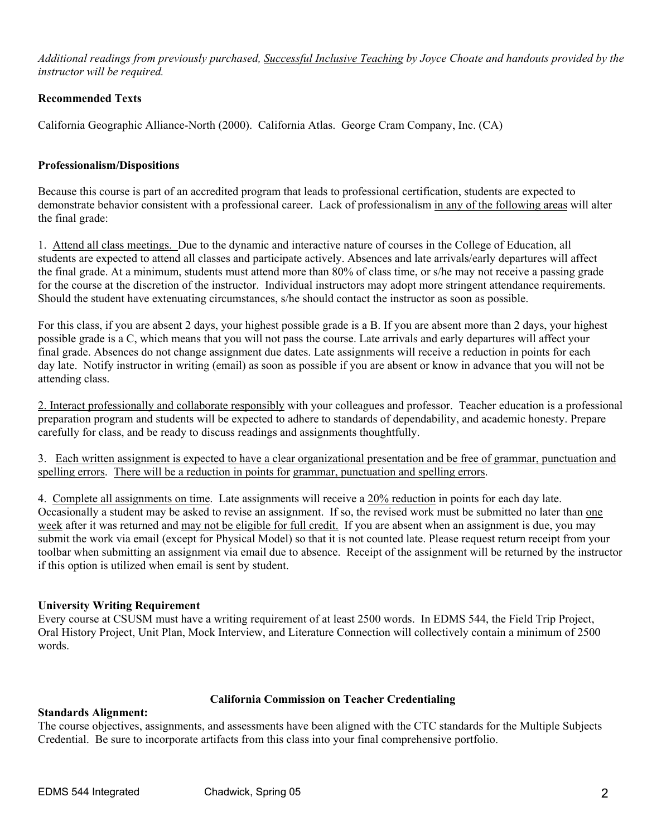*Additional readings from previously purchased, Successful Inclusive Teaching by Joyce Choate and handouts provided by the instructor will be required.* 

# **Recommended Texts**

California Geographic Alliance-North (2000). California Atlas. George Cram Company, Inc. (CA)

#### **Professionalism/Dispositions**

Because this course is part of an accredited program that leads to professional certification, students are expected to demonstrate behavior consistent with a professional career. Lack of professionalism in any of the following areas will alter the final grade:

1. Attend all class meetings. Due to the dynamic and interactive nature of courses in the College of Education, all students are expected to attend all classes and participate actively. Absences and late arrivals/early departures will affect the final grade. At a minimum, students must attend more than 80% of class time, or s/he may not receive a passing grade for the course at the discretion of the instructor. Individual instructors may adopt more stringent attendance requirements. Should the student have extenuating circumstances, s/he should contact the instructor as soon as possible.

For this class, if you are absent 2 days, your highest possible grade is a B. If you are absent more than 2 days, your highest possible grade is a C, which means that you will not pass the course. Late arrivals and early departures will affect your final grade. Absences do not change assignment due dates. Late assignments will receive a reduction in points for each day late. Notify instructor in writing (email) as soon as possible if you are absent or know in advance that you will not be attending class.

2. Interact professionally and collaborate responsibly with your colleagues and professor. Teacher education is a professional preparation program and students will be expected to adhere to standards of dependability, and academic honesty. Prepare carefully for class, and be ready to discuss readings and assignments thoughtfully.

3. Each written assignment is expected to have a clear organizational presentation and be free of grammar, punctuation and spelling errors. There will be a reduction in points for grammar, punctuation and spelling errors.

4. Complete all assignments on time. Late assignments will receive a 20% reduction in points for each day late. Occasionally a student may be asked to revise an assignment. If so, the revised work must be submitted no later than one week after it was returned and may not be eligible for full credit. If you are absent when an assignment is due, you may submit the work via email (except for Physical Model) so that it is not counted late. Please request return receipt from your toolbar when submitting an assignment via email due to absence. Receipt of the assignment will be returned by the instructor if this option is utilized when email is sent by student.

#### **University Writing Requirement**

Every course at CSUSM must have a writing requirement of at least 2500 words. In EDMS 544, the Field Trip Project, Oral History Project, Unit Plan, Mock Interview, and Literature Connection will collectively contain a minimum of 2500 words.

#### **California Commission on Teacher Credentialing**

**Standards Alignment:** 

The course objectives, assignments, and assessments have been aligned with the CTC standards for the Multiple Subjects Credential. Be sure to incorporate artifacts from this class into your final comprehensive portfolio.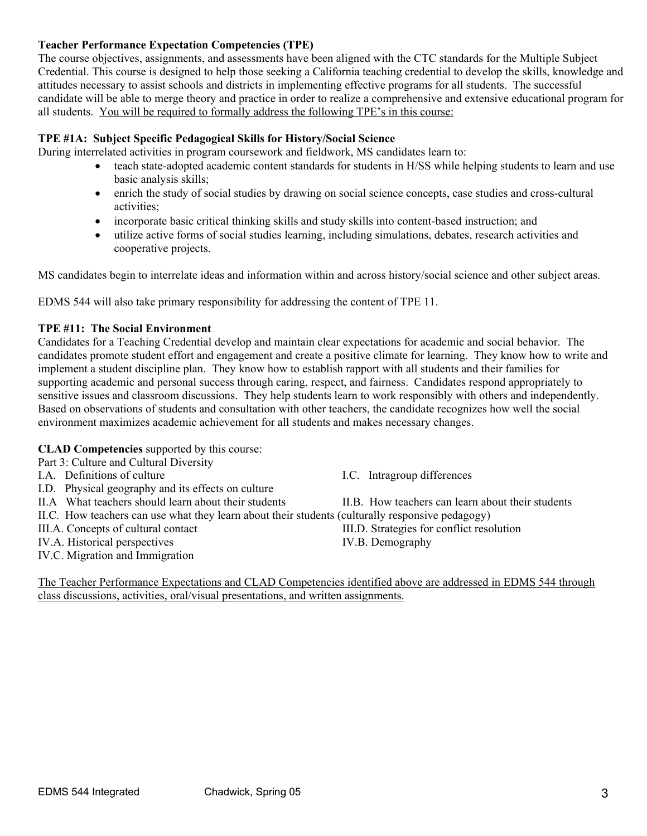## **Teacher Performance Expectation Competencies (TPE)**

The course objectives, assignments, and assessments have been aligned with the CTC standards for the Multiple Subject Credential. This course is designed to help those seeking a California teaching credential to develop the skills, knowledge and attitudes necessary to assist schools and districts in implementing effective programs for all students. The successful candidate will be able to merge theory and practice in order to realize a comprehensive and extensive educational program for all students. You will be required to formally address the following TPE's in this course:

## **TPE #1A: Subject Specific Pedagogical Skills for History/Social Science**

During interrelated activities in program coursework and fieldwork, MS candidates learn to:

- teach state-adopted academic content standards for students in H/SS while helping students to learn and use basic analysis skills;
- enrich the study of social studies by drawing on social science concepts, case studies and cross-cultural activities;
- incorporate basic critical thinking skills and study skills into content-based instruction; and
- utilize active forms of social studies learning, including simulations, debates, research activities and cooperative projects.

MS candidates begin to interrelate ideas and information within and across history/social science and other subject areas.

EDMS 544 will also take primary responsibility for addressing the content of TPE 11.

## **TPE #11: The Social Environment**

Candidates for a Teaching Credential develop and maintain clear expectations for academic and social behavior. The candidates promote student effort and engagement and create a positive climate for learning. They know how to write and implement a student discipline plan. They know how to establish rapport with all students and their families for supporting academic and personal success through caring, respect, and fairness. Candidates respond appropriately to sensitive issues and classroom discussions. They help students learn to work responsibly with others and independently. Based on observations of students and consultation with other teachers, the candidate recognizes how well the social environment maximizes academic achievement for all students and makes necessary changes.

# **CLAD Competencies** supported by this course:

Part 3: Culture and Cultural Diversity

- I.D. Physical geography and its effects on culture
- II.A What teachers should learn about their students II.B. How teachers can learn about their students
- II.C. How teachers can use what they learn about their students (culturally responsive pedagogy)
- 
- IV.A. Historical perspectives IV.B. Demography
- IV.C. Migration and Immigration
- I.A. Definitions of culture I.C. Intragroup differences
	-
	-

III.A. Concepts of cultural contact III.D. Strategies for conflict resolution

The Teacher Performance Expectations and CLAD Competencies identified above are addressed in EDMS 544 through class discussions, activities, oral/visual presentations, and written assignments.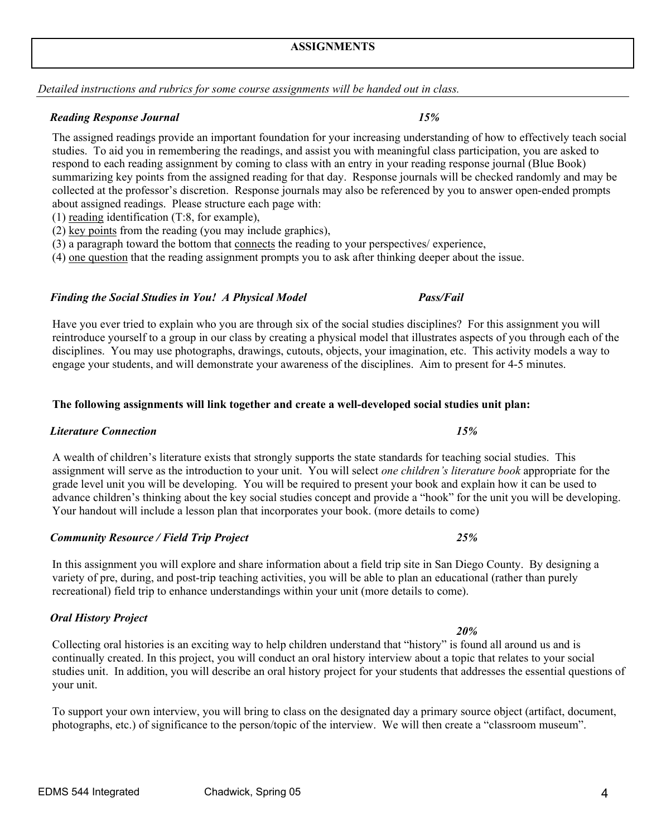# **ASSIGNMENTS**

*Detailed instructions and rubrics for some course assignments will be handed out in class.* 

## *Reading Response Journal 15%*

The assigned readings provide an important foundation for your increasing understanding of how to effectively teach social studies. To aid you in remembering the readings, and assist you with meaningful class participation, you are asked to respond to each reading assignment by coming to class with an entry in your reading response journal (Blue Book) summarizing key points from the assigned reading for that day. Response journals will be checked randomly and may be collected at the professor's discretion. Response journals may also be referenced by you to answer open-ended prompts about assigned readings. Please structure each page with:

(1) reading identification (T:8, for example),

(2) key points from the reading (you may include graphics),

(3) a paragraph toward the bottom that connects the reading to your perspectives/ experience,

(4) one question that the reading assignment prompts you to ask after thinking deeper about the issue.

# *Finding the Social Studies in You! A Physical Model Pass/Fail*

Have you ever tried to explain who you are through six of the social studies disciplines? For this assignment you will reintroduce yourself to a group in our class by creating a physical model that illustrates aspects of you through each of the disciplines. You may use photographs, drawings, cutouts, objects, your imagination, etc. This activity models a way to engage your students, and will demonstrate your awareness of the disciplines. Aim to present for 4-5 minutes.

# **The following assignments will link together and create a well-developed social studies unit plan:**

# *Literature Connection 15%*

A wealth of children's literature exists that strongly supports the state standards for teaching social studies. This assignment will serve as the introduction to your unit. You will select *one children's literature book* appropriate for the grade level unit you will be developing. You will be required to present your book and explain how it can be used to advance children's thinking about the key social studies concept and provide a "hook" for the unit you will be developing. Your handout will include a lesson plan that incorporates your book. (more details to come)

In this assignment you will explore and share information about a field trip site in San Diego County. By designing a variety of pre, during, and post-trip teaching activities, you will be able to plan an educational (rather than purely recreational) field trip to enhance understandings within your unit (more details to come).

# *Oral History Project*

 *20%* Collecting oral histories is an exciting way to help children understand that "history" is found all around us and is continually created. In this project, you will conduct an oral history interview about a topic that relates to your social studies unit. In addition, you will describe an oral history project for your students that addresses the essential questions of your unit.

To support your own interview, you will bring to class on the designated day a primary source object (artifact, document, photographs, etc.) of significance to the person/topic of the interview. We will then create a "classroom museum".

*Community Resource / Field Trip Project 25%*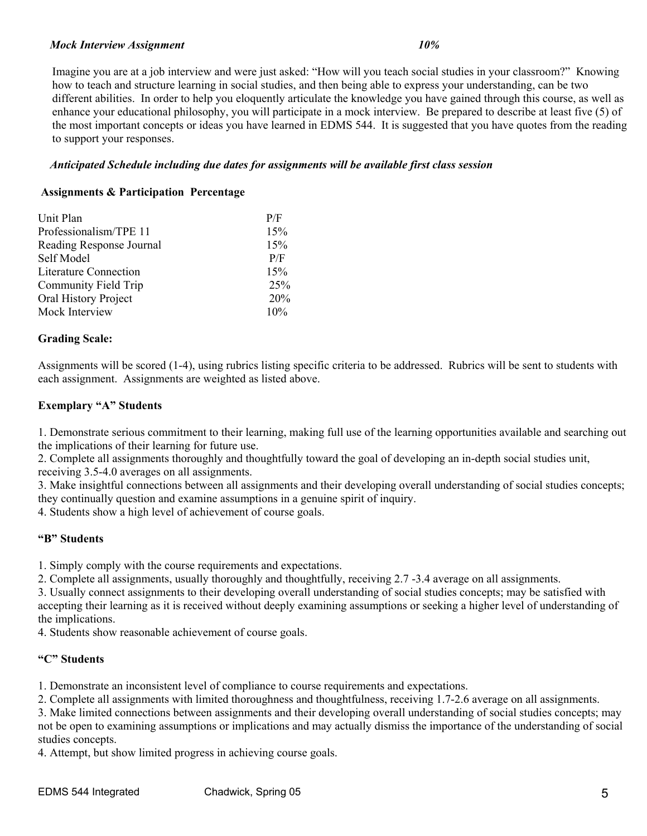#### *Mock Interview Assignment 10%*

Imagine you are at a job interview and were just asked: "How will you teach social studies in your classroom?" Knowing how to teach and structure learning in social studies, and then being able to express your understanding, can be two different abilities. In order to help you eloquently articulate the knowledge you have gained through this course, as well as enhance your educational philosophy, you will participate in a mock interview. Be prepared to describe at least five (5) of the most important concepts or ideas you have learned in EDMS 544. It is suggested that you have quotes from the reading to support your responses.

## *Anticipated Schedule including due dates for assignments will be available first class session*

## **Assignments & Participation Percentage**

| Unit Plan                    | P/F |
|------------------------------|-----|
| Professionalism/TPE 11       | 15% |
| Reading Response Journal     | 15% |
| Self Model                   | P/F |
| <b>Literature Connection</b> | 15% |
| Community Field Trip         | 25% |
| Oral History Project         | 20% |
| Mock Interview               | 10% |

## **Grading Scale:**

Assignments will be scored (1-4), using rubrics listing specific criteria to be addressed. Rubrics will be sent to students with each assignment. Assignments are weighted as listed above.

## **Exemplary "A" Students**

1. Demonstrate serious commitment to their learning, making full use of the learning opportunities available and searching out the implications of their learning for future use.

2. Complete all assignments thoroughly and thoughtfully toward the goal of developing an in-depth social studies unit, receiving 3.5-4.0 averages on all assignments.

3. Make insightful connections between all assignments and their developing overall understanding of social studies concepts; they continually question and examine assumptions in a genuine spirit of inquiry.

4. Students show a high level of achievement of course goals.

# **"B" Students**

1. Simply comply with the course requirements and expectations.

2. Complete all assignments, usually thoroughly and thoughtfully, receiving 2.7 -3.4 average on all assignments.

3. Usually connect assignments to their developing overall understanding of social studies concepts; may be satisfied with accepting their learning as it is received without deeply examining assumptions or seeking a higher level of understanding of the implications.

4. Students show reasonable achievement of course goals.

# **"C" Students**

1. Demonstrate an inconsistent level of compliance to course requirements and expectations.

2. Complete all assignments with limited thoroughness and thoughtfulness, receiving 1.7-2.6 average on all assignments.

3. Make limited connections between assignments and their developing overall understanding of social studies concepts; may not be open to examining assumptions or implications and may actually dismiss the importance of the understanding of social studies concepts.

4. Attempt, but show limited progress in achieving course goals.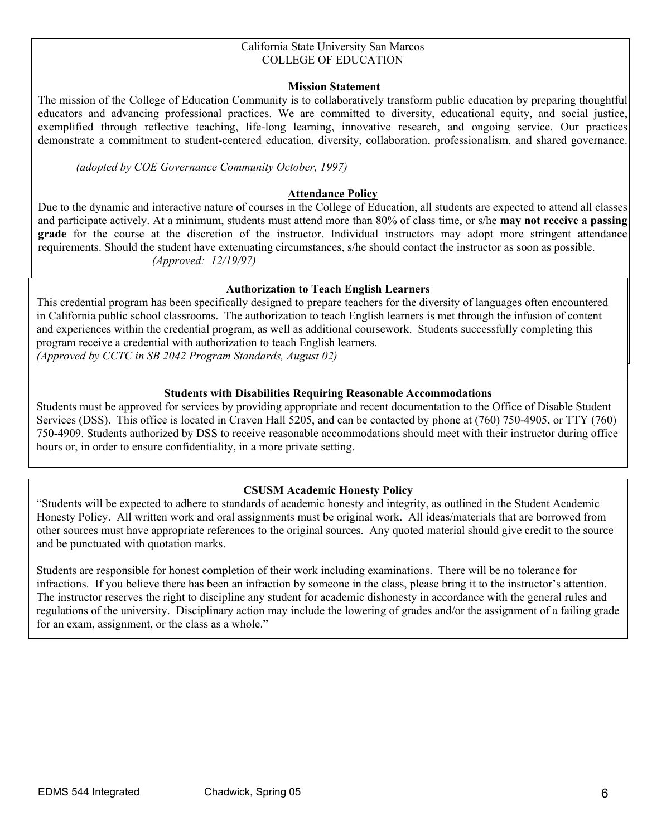#### California State University San Marcos COLLEGE OF EDUCATION

## **Mission Statement**

The mission of the College of Education Community is to collaboratively transform public education by preparing thoughtful educators and advancing professional practices. We are committed to diversity, educational equity, and social justice, exemplified through reflective teaching, life-long learning, innovative research, and ongoing service. Our practices demonstrate a commitment to student-centered education, diversity, collaboration, professionalism, and shared governance.

*(adopted by COE Governance Community October, 1997)*

#### **Attendance Policy**

Due to the dynamic and interactive nature of courses in the College of Education, all students are expected to attend all classes and participate actively. At a minimum, students must attend more than 80% of class time, or s/he **may not receive a passing grade** for the course at the discretion of the instructor. Individual instructors may adopt more stringent attendance requirements. Should the student have extenuating circumstances, s/he should contact the instructor as soon as possible. *(Approved: 12/19/97)* 

#### **Authorization to Teach English Learners**

This credential program has been specifically designed to prepare teachers for the diversity of languages often encountered in California public school classrooms. The authorization to teach English learners is met through the infusion of content and experiences within the credential program, as well as additional coursework. Students successfully completing this program receive a credential with authorization to teach English learners.

*(Approved by CCTC in SB 2042 Program Standards, August 02)*

#### **Students with Disabilities Requiring Reasonable Accommodations**

Students must be approved for services by providing appropriate and recent documentation to the Office of Disable Student Services (DSS). This office is located in Craven Hall 5205, and can be contacted by phone at (760) 750-4905, or TTY (760) 750-4909. Students authorized by DSS to receive reasonable accommodations should meet with their instructor during office hours or, in order to ensure confidentiality, in a more private setting.

#### **CSUSM Academic Honesty Policy**

other sources must have appropriate references to the original sources. Any quoted material should give credit to the source "Students will be expected to adhere to standards of academic honesty and integrity, as outlined in the Student Academic Honesty Policy. All written work and oral assignments must be original work. All ideas/materials that are borrowed from and be punctuated with quotation marks.

Students are responsible for honest completion of their work including examinations. There will be no tolerance for infractions. If you believe there has been an infraction by someone in the class, please bring it to the instructor's attention. The instructor reserves the right to discipline any student for academic dishonesty in accordance with the general rules and regulations of the university. Disciplinary action may include the lowering of grades and/or the assignment of a failing grade for an exam, assignment, or the class as a whole."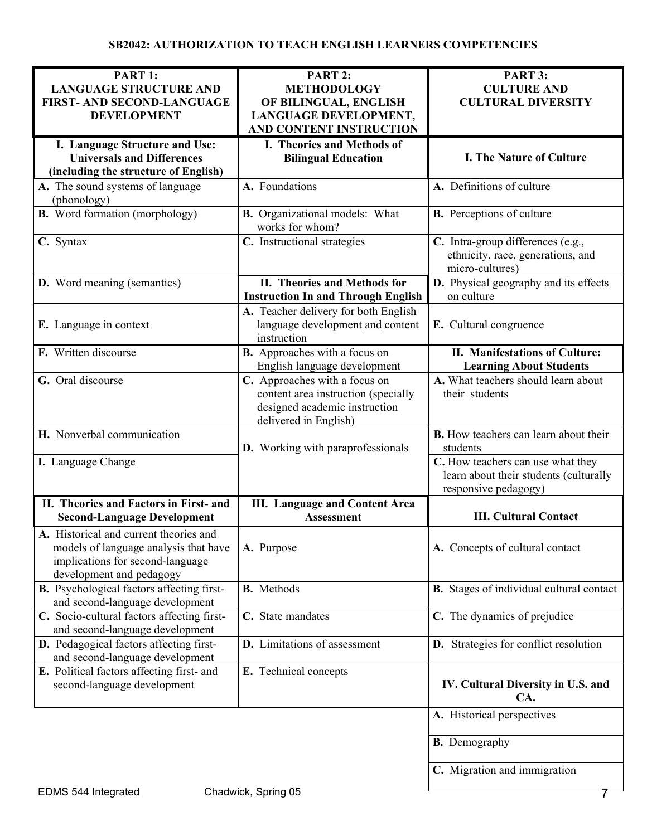| PART 1:                                          | PART 2:                                   | PART 3:                                         |
|--------------------------------------------------|-------------------------------------------|-------------------------------------------------|
| <b>LANGUAGE STRUCTURE AND</b>                    | <b>METHODOLOGY</b>                        | <b>CULTURE AND</b>                              |
| FIRST- AND SECOND-LANGUAGE                       | OF BILINGUAL, ENGLISH                     | <b>CULTURAL DIVERSITY</b>                       |
| <b>DEVELOPMENT</b>                               | LANGUAGE DEVELOPMENT,                     |                                                 |
|                                                  | AND CONTENT INSTRUCTION                   |                                                 |
|                                                  |                                           |                                                 |
| I. Language Structure and Use:                   | I. Theories and Methods of                |                                                 |
| <b>Universals and Differences</b>                | <b>Bilingual Education</b>                | <b>I. The Nature of Culture</b>                 |
| (including the structure of English)             |                                           |                                                 |
| A. The sound systems of language                 | A. Foundations                            | A. Definitions of culture                       |
|                                                  |                                           |                                                 |
| (phonology)                                      |                                           |                                                 |
| <b>B.</b> Word formation (morphology)            | <b>B.</b> Organizational models: What     | <b>B.</b> Perceptions of culture                |
|                                                  | works for whom?                           |                                                 |
| C. Syntax                                        | C. Instructional strategies               | C. Intra-group differences (e.g.,               |
|                                                  |                                           | ethnicity, race, generations, and               |
|                                                  |                                           | micro-cultures)                                 |
|                                                  |                                           |                                                 |
| <b>D.</b> Word meaning (semantics)               | II. Theories and Methods for              | D. Physical geography and its effects           |
|                                                  | <b>Instruction In and Through English</b> | on culture                                      |
|                                                  | A. Teacher delivery for both English      |                                                 |
| E. Language in context                           | language development and content          | E. Cultural congruence                          |
|                                                  | instruction                               |                                                 |
|                                                  |                                           |                                                 |
| F. Written discourse                             | <b>B.</b> Approaches with a focus on      | II. Manifestations of Culture:                  |
|                                                  | English language development              | <b>Learning About Students</b>                  |
| G. Oral discourse                                | C. Approaches with a focus on             | A. What teachers should learn about             |
|                                                  | content area instruction (specially       | their students                                  |
|                                                  | designed academic instruction             |                                                 |
|                                                  |                                           |                                                 |
|                                                  | delivered in English)                     |                                                 |
| H. Nonverbal communication                       |                                           | <b>B.</b> How teachers can learn about their    |
|                                                  | <b>D.</b> Working with paraprofessionals  | students                                        |
| I. Language Change                               |                                           | C. How teachers can use what they               |
|                                                  |                                           | learn about their students (culturally          |
|                                                  |                                           | responsive pedagogy)                            |
|                                                  |                                           |                                                 |
| II. Theories and Factors in First- and           | <b>III.</b> Language and Content Area     |                                                 |
| <b>Second-Language Development</b>               | <b>Assessment</b>                         | <b>III. Cultural Contact</b>                    |
| A. Historical and current theories and           |                                           |                                                 |
| models of language analysis that have            | A. Purpose                                | A. Concepts of cultural contact                 |
|                                                  |                                           |                                                 |
| implications for second-language                 |                                           |                                                 |
| development and pedagogy                         |                                           |                                                 |
| <b>B.</b> Psychological factors affecting first- | <b>B.</b> Methods                         | <b>B.</b> Stages of individual cultural contact |
| and second-language development                  |                                           |                                                 |
| C. Socio-cultural factors affecting first-       | C. State mandates                         | C. The dynamics of prejudice                    |
| and second-language development                  |                                           |                                                 |
|                                                  | D. Limitations of assessment              |                                                 |
| D. Pedagogical factors affecting first-          |                                           | D. Strategies for conflict resolution           |
| and second-language development                  |                                           |                                                 |
| E. Political factors affecting first- and        | E. Technical concepts                     |                                                 |
| second-language development                      |                                           | IV. Cultural Diversity in U.S. and              |
|                                                  |                                           | CA.                                             |
|                                                  |                                           |                                                 |
|                                                  |                                           | A. Historical perspectives                      |
|                                                  |                                           |                                                 |
|                                                  |                                           | <b>B.</b> Demography                            |
|                                                  |                                           |                                                 |
|                                                  |                                           | C. Migration and immigration                    |
|                                                  |                                           |                                                 |
| $\Box$ MAC $EAA$ Intograted                      | Chadwick Corina OE                        |                                                 |